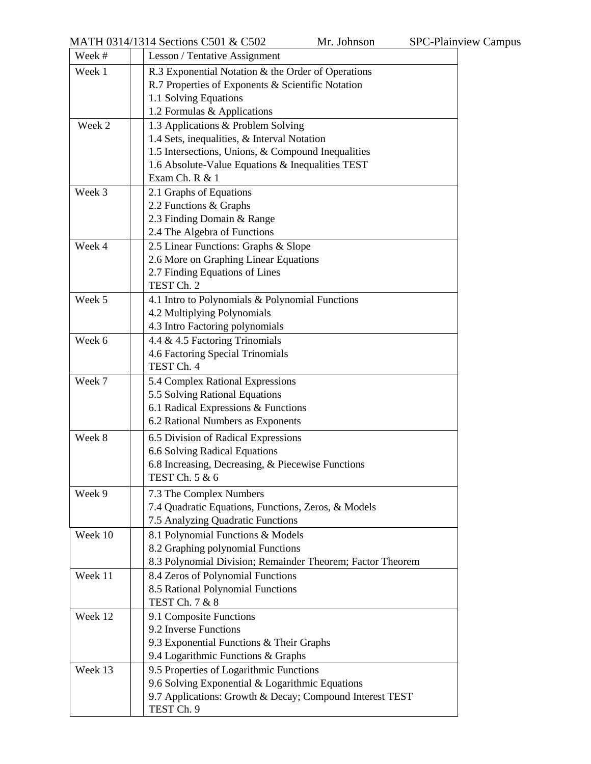| Week #  | Lesson / Tentative Assignment                              |
|---------|------------------------------------------------------------|
| Week 1  | R.3 Exponential Notation & the Order of Operations         |
|         | R.7 Properties of Exponents & Scientific Notation          |
|         | 1.1 Solving Equations                                      |
|         | 1.2 Formulas & Applications                                |
| Week 2  | 1.3 Applications & Problem Solving                         |
|         | 1.4 Sets, inequalities, & Interval Notation                |
|         | 1.5 Intersections, Unions, & Compound Inequalities         |
|         | 1.6 Absolute-Value Equations & Inequalities TEST           |
|         | Exam Ch. R & 1                                             |
| Week 3  | 2.1 Graphs of Equations                                    |
|         | 2.2 Functions & Graphs<br>2.3 Finding Domain & Range       |
|         | 2.4 The Algebra of Functions                               |
| Week 4  | 2.5 Linear Functions: Graphs & Slope                       |
|         | 2.6 More on Graphing Linear Equations                      |
|         | 2.7 Finding Equations of Lines                             |
|         | TEST Ch. 2                                                 |
| Week 5  | 4.1 Intro to Polynomials & Polynomial Functions            |
|         | 4.2 Multiplying Polynomials                                |
|         | 4.3 Intro Factoring polynomials                            |
| Week 6  | 4.4 & 4.5 Factoring Trinomials                             |
|         | 4.6 Factoring Special Trinomials                           |
|         | TEST Ch. 4                                                 |
| Week 7  | 5.4 Complex Rational Expressions                           |
|         | 5.5 Solving Rational Equations                             |
|         | 6.1 Radical Expressions & Functions                        |
|         | 6.2 Rational Numbers as Exponents                          |
| Week 8  | 6.5 Division of Radical Expressions                        |
|         | 6.6 Solving Radical Equations                              |
|         | 6.8 Increasing, Decreasing, & Piecewise Functions          |
|         | TEST Ch. 5 & 6                                             |
| Week 9  | 7.3 The Complex Numbers                                    |
|         | 7.4 Quadratic Equations, Functions, Zeros, & Models        |
|         | 7.5 Analyzing Quadratic Functions                          |
| Week 10 | 8.1 Polynomial Functions & Models                          |
|         | 8.2 Graphing polynomial Functions                          |
|         | 8.3 Polynomial Division; Remainder Theorem; Factor Theorem |
| Week 11 | 8.4 Zeros of Polynomial Functions                          |
|         | 8.5 Rational Polynomial Functions<br>TEST Ch. 7 & 8        |
| Week 12 | 9.1 Composite Functions                                    |
|         | 9.2 Inverse Functions                                      |
|         | 9.3 Exponential Functions & Their Graphs                   |
|         | 9.4 Logarithmic Functions & Graphs                         |
| Week 13 | 9.5 Properties of Logarithmic Functions                    |
|         | 9.6 Solving Exponential & Logarithmic Equations            |
|         | 9.7 Applications: Growth & Decay; Compound Interest TEST   |
|         | TEST Ch. 9                                                 |